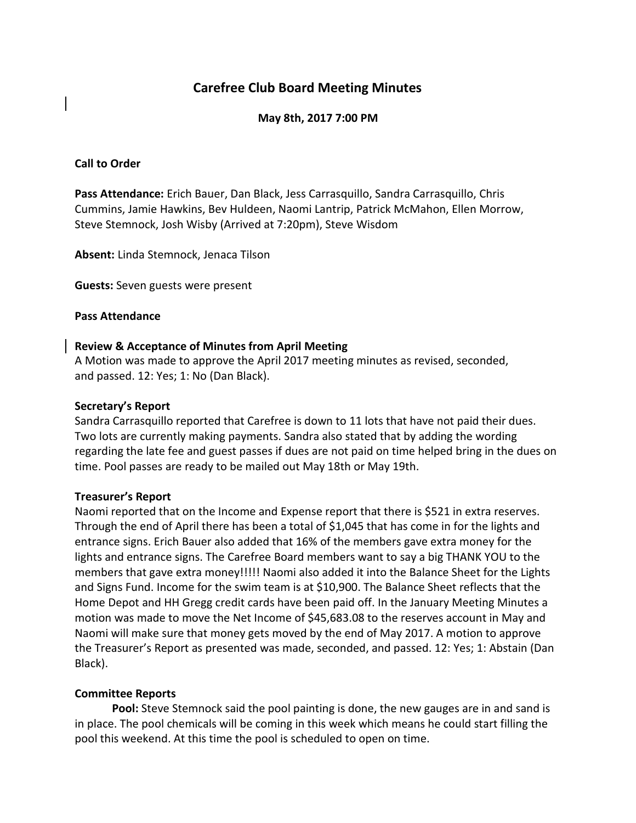# **Carefree Club Board Meeting Minutes**

## **May 8th, 2017 7:00 PM**

### **Call to Order**

**Pass Attendance:** Erich Bauer, Dan Black, Jess Carrasquillo, Sandra Carrasquillo, Chris Cummins, Jamie Hawkins, Bev Huldeen, Naomi Lantrip, Patrick McMahon, Ellen Morrow, Steve Stemnock, Josh Wisby (Arrived at 7:20pm), Steve Wisdom

**Absent:** Linda Stemnock, Jenaca Tilson

**Guests:** Seven guests were present

#### **Pass Attendance**

### **Review & Acceptance of Minutes from April Meeting**

A Motion was made to approve the April 2017 meeting minutes as revised, seconded, and passed. 12: Yes; 1: No (Dan Black).

#### **Secretary's Report**

Sandra Carrasquillo reported that Carefree is down to 11 lots that have not paid their dues. Two lots are currently making payments. Sandra also stated that by adding the wording regarding the late fee and guest passes if dues are not paid on time helped bring in the dues on time. Pool passes are ready to be mailed out May 18th or May 19th.

## **Treasurer's Report**

Naomi reported that on the Income and Expense report that there is \$521 in extra reserves. Through the end of April there has been a total of \$1,045 that has come in for the lights and entrance signs. Erich Bauer also added that 16% of the members gave extra money for the lights and entrance signs. The Carefree Board members want to say a big THANK YOU to the members that gave extra money!!!!! Naomi also added it into the Balance Sheet for the Lights and Signs Fund. Income for the swim team is at \$10,900. The Balance Sheet reflects that the Home Depot and HH Gregg credit cards have been paid off. In the January Meeting Minutes a motion was made to move the Net Income of \$45,683.08 to the reserves account in May and Naomi will make sure that money gets moved by the end of May 2017. A motion to approve the Treasurer's Report as presented was made, seconded, and passed. 12: Yes; 1: Abstain (Dan Black).

## **Committee Reports**

Pool: Steve Stemnock said the pool painting is done, the new gauges are in and sand is in place. The pool chemicals will be coming in this week which means he could start filling the pool this weekend. At this time the pool is scheduled to open on time.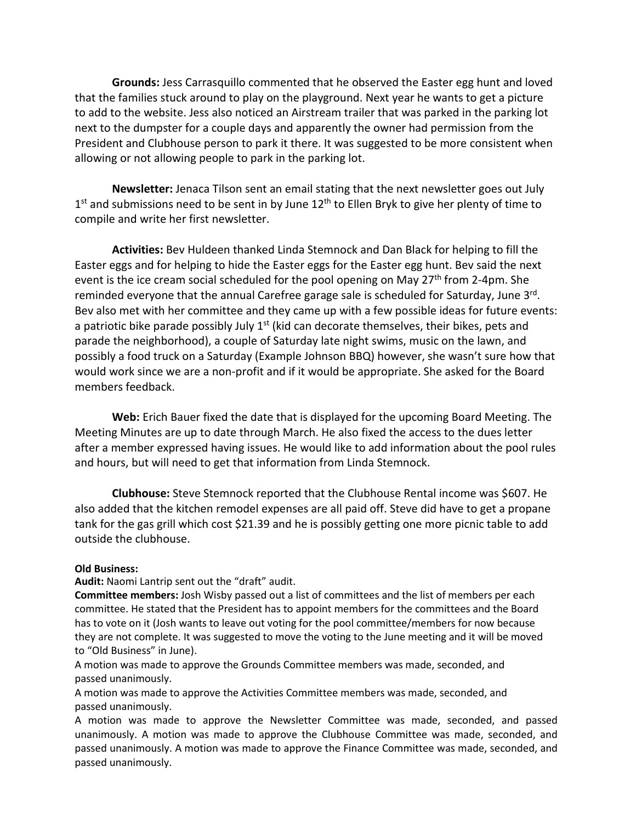**Grounds:** Jess Carrasquillo commented that he observed the Easter egg hunt and loved that the families stuck around to play on the playground. Next year he wants to get a picture to add to the website. Jess also noticed an Airstream trailer that was parked in the parking lot next to the dumpster for a couple days and apparently the owner had permission from the President and Clubhouse person to park it there. It was suggested to be more consistent when allowing or not allowing people to park in the parking lot.

**Newsletter:** Jenaca Tilson sent an email stating that the next newsletter goes out July  $1<sup>st</sup>$  and submissions need to be sent in by June  $12<sup>th</sup>$  to Ellen Bryk to give her plenty of time to compile and write her first newsletter.

**Activities:** Bev Huldeen thanked Linda Stemnock and Dan Black for helping to fill the Easter eggs and for helping to hide the Easter eggs for the Easter egg hunt. Bev said the next event is the ice cream social scheduled for the pool opening on May 27<sup>th</sup> from 2-4pm. She reminded everyone that the annual Carefree garage sale is scheduled for Saturday, June 3rd. Bev also met with her committee and they came up with a few possible ideas for future events: a patriotic bike parade possibly July  $1<sup>st</sup>$  (kid can decorate themselves, their bikes, pets and parade the neighborhood), a couple of Saturday late night swims, music on the lawn, and possibly a food truck on a Saturday (Example Johnson BBQ) however, she wasn't sure how that would work since we are a non-profit and if it would be appropriate. She asked for the Board members feedback.

**Web:** Erich Bauer fixed the date that is displayed for the upcoming Board Meeting. The Meeting Minutes are up to date through March. He also fixed the access to the dues letter after a member expressed having issues. He would like to add information about the pool rules and hours, but will need to get that information from Linda Stemnock.

**Clubhouse:** Steve Stemnock reported that the Clubhouse Rental income was \$607. He also added that the kitchen remodel expenses are all paid off. Steve did have to get a propane tank for the gas grill which cost \$21.39 and he is possibly getting one more picnic table to add outside the clubhouse.

#### **Old Business:**

#### **Audit:** Naomi Lantrip sent out the "draft" audit.

**Committee members:** Josh Wisby passed out a list of committees and the list of members per each committee. He stated that the President has to appoint members for the committees and the Board has to vote on it (Josh wants to leave out voting for the pool committee/members for now because they are not complete. It was suggested to move the voting to the June meeting and it will be moved to "Old Business" in June).

A motion was made to approve the Grounds Committee members was made, seconded, and passed unanimously.

A motion was made to approve the Activities Committee members was made, seconded, and passed unanimously.

A motion was made to approve the Newsletter Committee was made, seconded, and passed unanimously. A motion was made to approve the Clubhouse Committee was made, seconded, and passed unanimously. A motion was made to approve the Finance Committee was made, seconded, and passed unanimously.